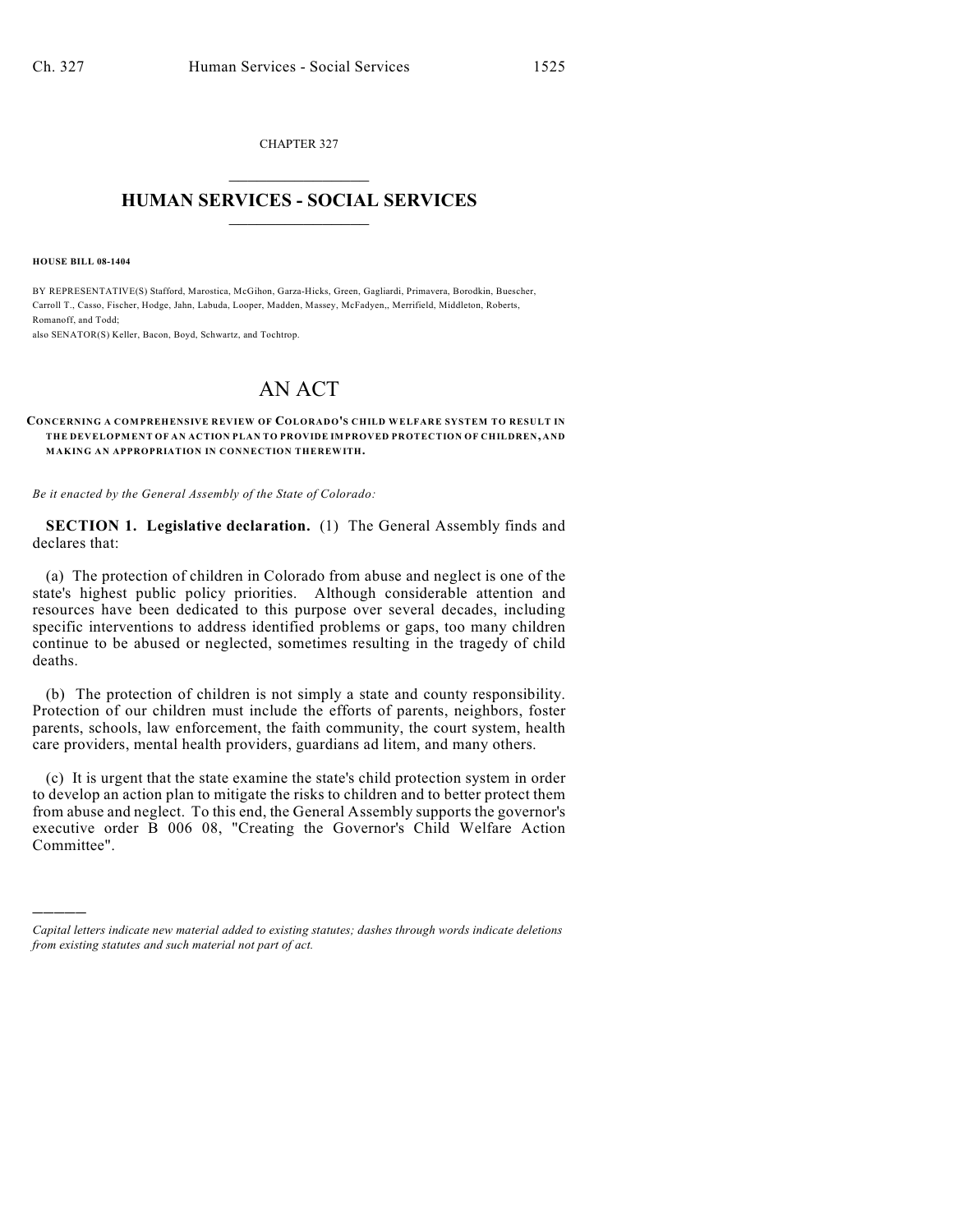CHAPTER 327  $\overline{\phantom{a}}$  . The set of the set of the set of the set of the set of the set of the set of the set of the set of the set of the set of the set of the set of the set of the set of the set of the set of the set of the set o

## **HUMAN SERVICES - SOCIAL SERVICES**  $\frac{1}{2}$  ,  $\frac{1}{2}$  ,  $\frac{1}{2}$  ,  $\frac{1}{2}$  ,  $\frac{1}{2}$  ,  $\frac{1}{2}$  ,  $\frac{1}{2}$

**HOUSE BILL 08-1404**

)))))

BY REPRESENTATIVE(S) Stafford, Marostica, McGihon, Garza-Hicks, Green, Gagliardi, Primavera, Borodkin, Buescher, Carroll T., Casso, Fischer, Hodge, Jahn, Labuda, Looper, Madden, Massey, McFadyen,, Merrifield, Middleton, Roberts, Romanoff, and Todd;

also SENATOR(S) Keller, Bacon, Boyd, Schwartz, and Tochtrop.

## AN ACT

## **CONCERNING A COMPREHENSIVE REVIEW OF COLORADO'S CHILD WELFARE SYSTEM TO RESULT IN THE DEVELOPMENT OF AN ACTION PLAN TO PROVIDE IMPROVED PROTECTION OF CHILDREN, AND MAKING AN APPROPRIATION IN CONNECTION THEREWITH.**

*Be it enacted by the General Assembly of the State of Colorado:*

**SECTION 1. Legislative declaration.** (1) The General Assembly finds and declares that:

(a) The protection of children in Colorado from abuse and neglect is one of the state's highest public policy priorities. Although considerable attention and resources have been dedicated to this purpose over several decades, including specific interventions to address identified problems or gaps, too many children continue to be abused or neglected, sometimes resulting in the tragedy of child deaths.

(b) The protection of children is not simply a state and county responsibility. Protection of our children must include the efforts of parents, neighbors, foster parents, schools, law enforcement, the faith community, the court system, health care providers, mental health providers, guardians ad litem, and many others.

(c) It is urgent that the state examine the state's child protection system in order to develop an action plan to mitigate the risks to children and to better protect them from abuse and neglect. To this end, the General Assembly supports the governor's executive order B 006 08, "Creating the Governor's Child Welfare Action Committee".

*Capital letters indicate new material added to existing statutes; dashes through words indicate deletions from existing statutes and such material not part of act.*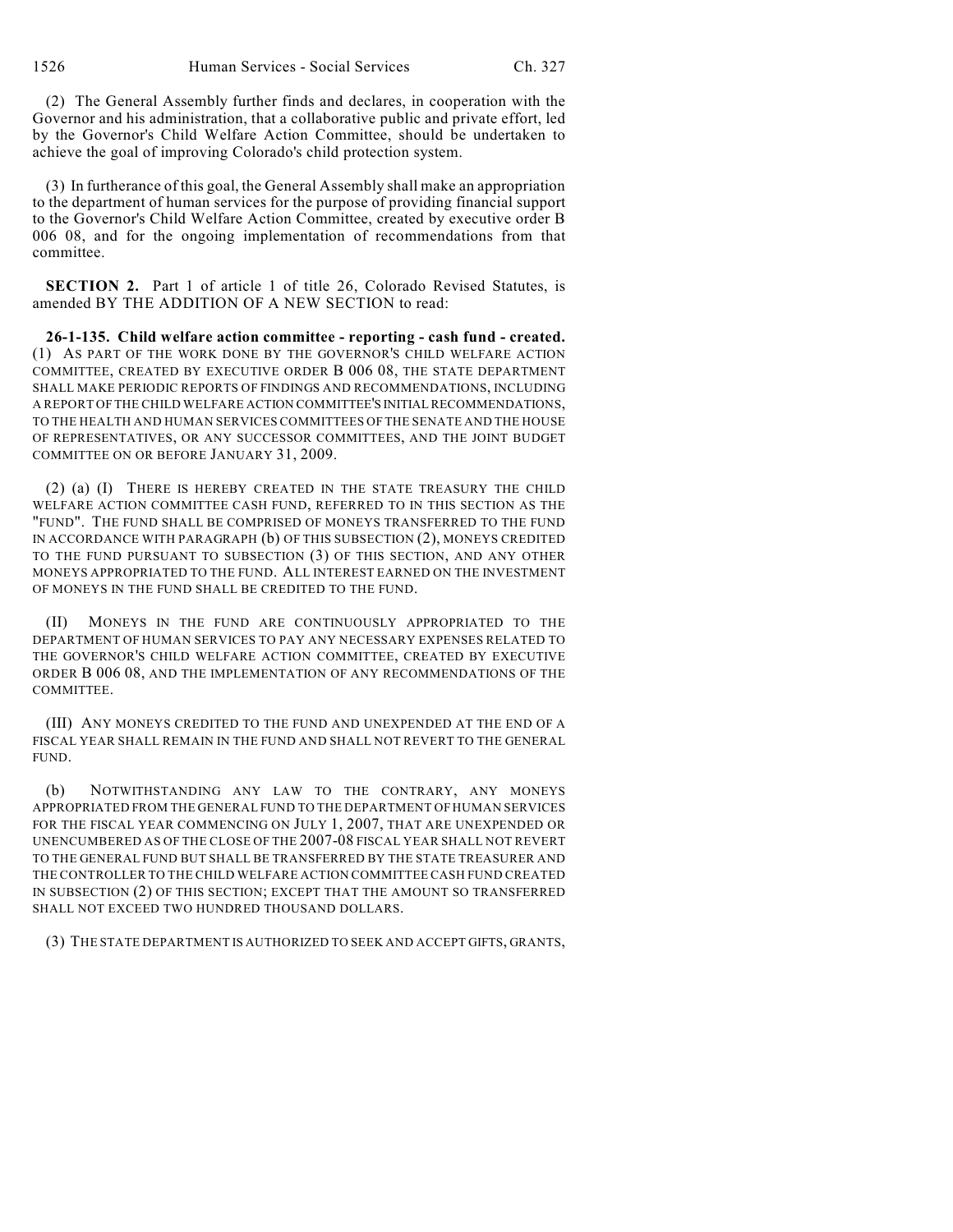(2) The General Assembly further finds and declares, in cooperation with the Governor and his administration, that a collaborative public and private effort, led by the Governor's Child Welfare Action Committee, should be undertaken to achieve the goal of improving Colorado's child protection system.

(3) In furtherance of this goal, the General Assembly shall make an appropriation to the department of human services for the purpose of providing financial support to the Governor's Child Welfare Action Committee, created by executive order B 006 08, and for the ongoing implementation of recommendations from that committee.

**SECTION 2.** Part 1 of article 1 of title 26, Colorado Revised Statutes, is amended BY THE ADDITION OF A NEW SECTION to read:

**26-1-135. Child welfare action committee - reporting - cash fund - created.** (1) AS PART OF THE WORK DONE BY THE GOVERNOR'S CHILD WELFARE ACTION COMMITTEE, CREATED BY EXECUTIVE ORDER B 006 08, THE STATE DEPARTMENT SHALL MAKE PERIODIC REPORTS OF FINDINGS AND RECOMMENDATIONS, INCLUDING A REPORT OF THE CHILD WELFARE ACTION COMMITTEE'S INITIAL RECOMMENDATIONS, TO THE HEALTH AND HUMAN SERVICES COMMITTEES OF THE SENATE AND THE HOUSE OF REPRESENTATIVES, OR ANY SUCCESSOR COMMITTEES, AND THE JOINT BUDGET COMMITTEE ON OR BEFORE JANUARY 31, 2009.

(2) (a) (I) THERE IS HEREBY CREATED IN THE STATE TREASURY THE CHILD WELFARE ACTION COMMITTEE CASH FUND, REFERRED TO IN THIS SECTION AS THE "FUND". THE FUND SHALL BE COMPRISED OF MONEYS TRANSFERRED TO THE FUND IN ACCORDANCE WITH PARAGRAPH (b) OF THIS SUBSECTION (2), MONEYS CREDITED TO THE FUND PURSUANT TO SUBSECTION (3) OF THIS SECTION, AND ANY OTHER MONEYS APPROPRIATED TO THE FUND. ALL INTEREST EARNED ON THE INVESTMENT OF MONEYS IN THE FUND SHALL BE CREDITED TO THE FUND.

(II) MONEYS IN THE FUND ARE CONTINUOUSLY APPROPRIATED TO THE DEPARTMENT OF HUMAN SERVICES TO PAY ANY NECESSARY EXPENSES RELATED TO THE GOVERNOR'S CHILD WELFARE ACTION COMMITTEE, CREATED BY EXECUTIVE ORDER B 006 08, AND THE IMPLEMENTATION OF ANY RECOMMENDATIONS OF THE COMMITTEE.

(III) ANY MONEYS CREDITED TO THE FUND AND UNEXPENDED AT THE END OF A FISCAL YEAR SHALL REMAIN IN THE FUND AND SHALL NOT REVERT TO THE GENERAL FUND.

(b) NOTWITHSTANDING ANY LAW TO THE CONTRARY, ANY MONEYS APPROPRIATED FROM THE GENERAL FUND TO THE DEPARTMENT OF HUMAN SERVICES FOR THE FISCAL YEAR COMMENCING ON JULY 1, 2007, THAT ARE UNEXPENDED OR UNENCUMBERED AS OF THE CLOSE OF THE 2007-08 FISCAL YEAR SHALL NOT REVERT TO THE GENERAL FUND BUT SHALL BE TRANSFERRED BY THE STATE TREASURER AND THE CONTROLLER TO THE CHILD WELFARE ACTION COMMITTEE CASH FUND CREATED IN SUBSECTION (2) OF THIS SECTION; EXCEPT THAT THE AMOUNT SO TRANSFERRED SHALL NOT EXCEED TWO HUNDRED THOUSAND DOLLARS.

(3) THE STATE DEPARTMENT IS AUTHORIZED TO SEEK AND ACCEPT GIFTS, GRANTS,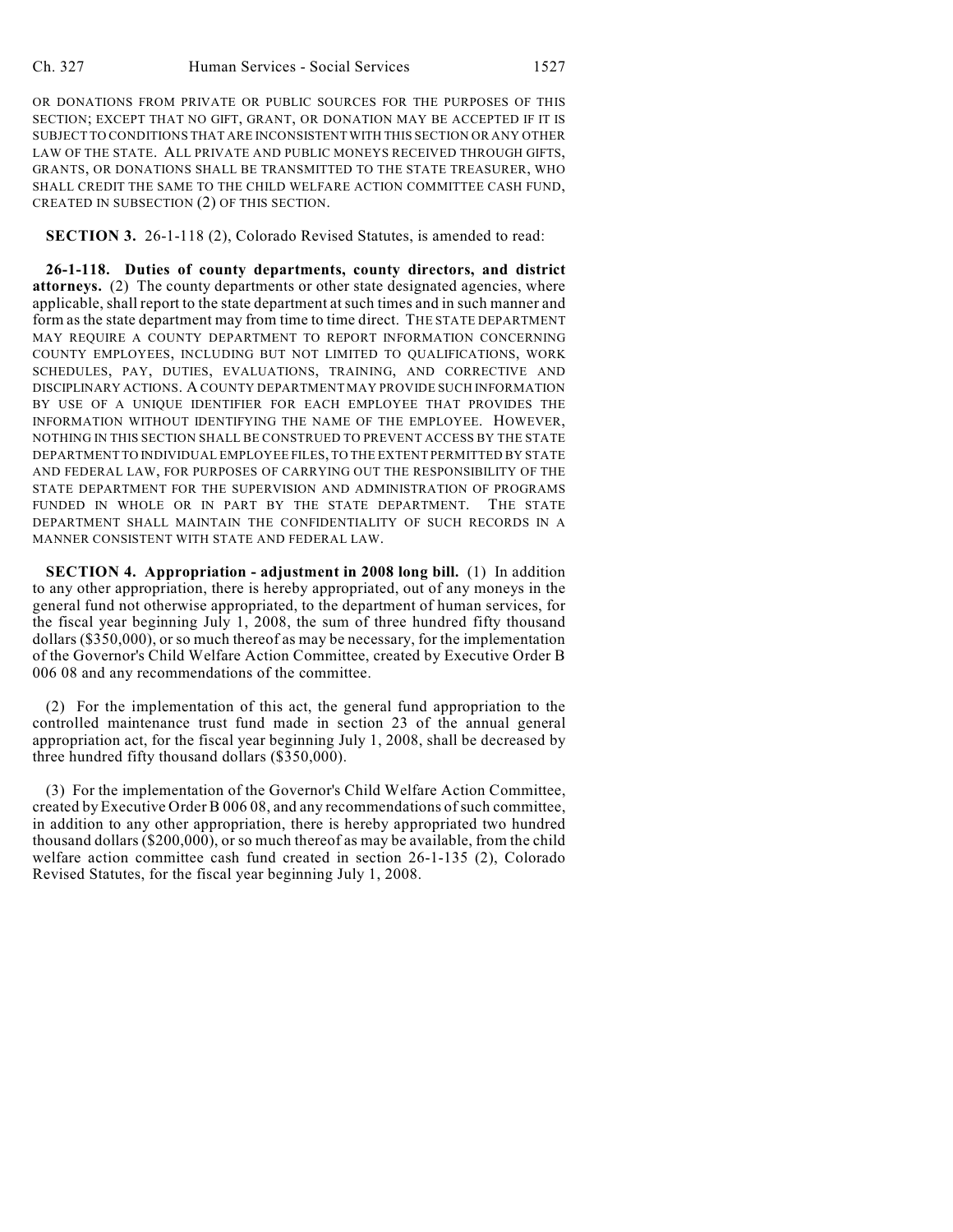OR DONATIONS FROM PRIVATE OR PUBLIC SOURCES FOR THE PURPOSES OF THIS SECTION; EXCEPT THAT NO GIFT, GRANT, OR DONATION MAY BE ACCEPTED IF IT IS SUBJECT TO CONDITIONS THAT ARE INCONSISTENT WITH THIS SECTION OR ANY OTHER LAW OF THE STATE. ALL PRIVATE AND PUBLIC MONEYS RECEIVED THROUGH GIFTS, GRANTS, OR DONATIONS SHALL BE TRANSMITTED TO THE STATE TREASURER, WHO SHALL CREDIT THE SAME TO THE CHILD WELFARE ACTION COMMITTEE CASH FUND, CREATED IN SUBSECTION (2) OF THIS SECTION.

**SECTION 3.** 26-1-118 (2), Colorado Revised Statutes, is amended to read:

**26-1-118. Duties of county departments, county directors, and district attorneys.** (2) The county departments or other state designated agencies, where applicable, shall report to the state department at such times and in such manner and form as the state department may from time to time direct. THE STATE DEPARTMENT MAY REQUIRE A COUNTY DEPARTMENT TO REPORT INFORMATION CONCERNING COUNTY EMPLOYEES, INCLUDING BUT NOT LIMITED TO QUALIFICATIONS, WORK SCHEDULES, PAY, DUTIES, EVALUATIONS, TRAINING, AND CORRECTIVE AND DISCIPLINARY ACTIONS. A COUNTY DEPARTMENT MAY PROVIDE SUCH INFORMATION BY USE OF A UNIQUE IDENTIFIER FOR EACH EMPLOYEE THAT PROVIDES THE INFORMATION WITHOUT IDENTIFYING THE NAME OF THE EMPLOYEE. HOWEVER, NOTHING IN THIS SECTION SHALL BE CONSTRUED TO PREVENT ACCESS BY THE STATE DEPARTMENT TO INDIVIDUAL EMPLOYEE FILES, TO THE EXTENT PERMITTED BY STATE AND FEDERAL LAW, FOR PURPOSES OF CARRYING OUT THE RESPONSIBILITY OF THE STATE DEPARTMENT FOR THE SUPERVISION AND ADMINISTRATION OF PROGRAMS FUNDED IN WHOLE OR IN PART BY THE STATE DEPARTMENT. THE STATE DEPARTMENT SHALL MAINTAIN THE CONFIDENTIALITY OF SUCH RECORDS IN A MANNER CONSISTENT WITH STATE AND FEDERAL LAW.

**SECTION 4. Appropriation - adjustment in 2008 long bill.** (1) In addition to any other appropriation, there is hereby appropriated, out of any moneys in the general fund not otherwise appropriated, to the department of human services, for the fiscal year beginning July 1, 2008, the sum of three hundred fifty thousand dollars (\$350,000), or so much thereof as may be necessary, for the implementation of the Governor's Child Welfare Action Committee, created by Executive Order B 006 08 and any recommendations of the committee.

(2) For the implementation of this act, the general fund appropriation to the controlled maintenance trust fund made in section 23 of the annual general appropriation act, for the fiscal year beginning July 1, 2008, shall be decreased by three hundred fifty thousand dollars (\$350,000).

(3) For the implementation of the Governor's Child Welfare Action Committee, created by Executive Order B 006 08, and any recommendations of such committee, in addition to any other appropriation, there is hereby appropriated two hundred thousand dollars (\$200,000), or so much thereof as may be available, from the child welfare action committee cash fund created in section 26-1-135 (2), Colorado Revised Statutes, for the fiscal year beginning July 1, 2008.